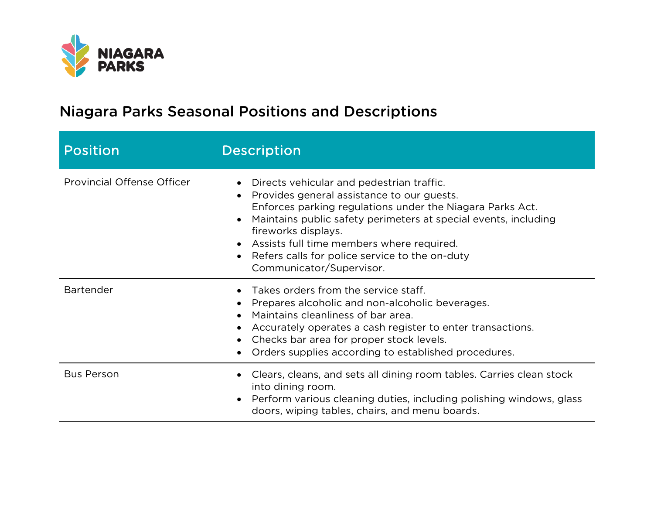

| <b>Position</b>                   | <b>Description</b>                                                                                                                                                                                                                                                                                                                                                                       |
|-----------------------------------|------------------------------------------------------------------------------------------------------------------------------------------------------------------------------------------------------------------------------------------------------------------------------------------------------------------------------------------------------------------------------------------|
| <b>Provincial Offense Officer</b> | Directs vehicular and pedestrian traffic.<br>$\bullet$<br>Provides general assistance to our guests.<br>Enforces parking regulations under the Niagara Parks Act.<br>Maintains public safety perimeters at special events, including<br>fireworks displays.<br>• Assists full time members where required.<br>Refers calls for police service to the on-duty<br>Communicator/Supervisor. |
| <b>Bartender</b>                  | Takes orders from the service staff.<br>• Prepares alcoholic and non-alcoholic beverages.<br>Maintains cleanliness of bar area.<br>• Accurately operates a cash register to enter transactions.<br>Checks bar area for proper stock levels.<br>Orders supplies according to established procedures.                                                                                      |
| <b>Bus Person</b>                 | Clears, cleans, and sets all dining room tables. Carries clean stock<br>into dining room.<br>Perform various cleaning duties, including polishing windows, glass<br>doors, wiping tables, chairs, and menu boards.                                                                                                                                                                       |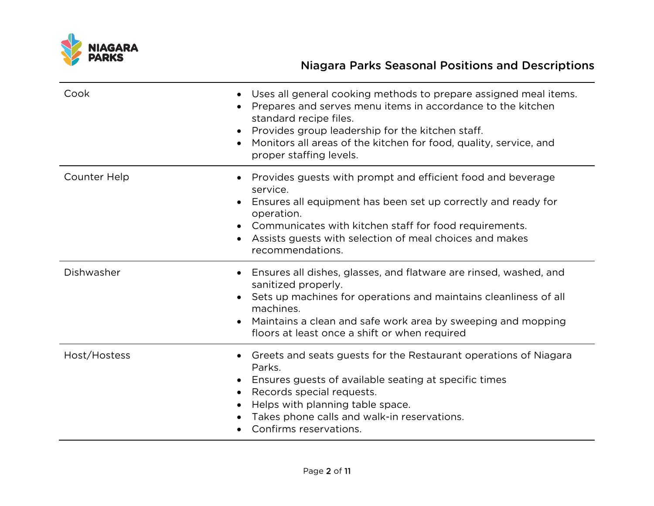

| Cook         | Uses all general cooking methods to prepare assigned meal items.<br>$\bullet$<br>Prepares and serves menu items in accordance to the kitchen<br>standard recipe files.<br>Provides group leadership for the kitchen staff.<br>Monitors all areas of the kitchen for food, quality, service, and<br>proper staffing levels.        |
|--------------|-----------------------------------------------------------------------------------------------------------------------------------------------------------------------------------------------------------------------------------------------------------------------------------------------------------------------------------|
| Counter Help | Provides guests with prompt and efficient food and beverage<br>service.<br>Ensures all equipment has been set up correctly and ready for<br>operation.<br>Communicates with kitchen staff for food requirements.<br>Assists guests with selection of meal choices and makes<br>recommendations.                                   |
| Dishwasher   | Ensures all dishes, glasses, and flatware are rinsed, washed, and<br>sanitized properly.<br>Sets up machines for operations and maintains cleanliness of all<br>$\bullet$<br>machines.<br>Maintains a clean and safe work area by sweeping and mopping<br>floors at least once a shift or when required                           |
| Host/Hostess | Greets and seats guests for the Restaurant operations of Niagara<br>$\bullet$<br>Parks.<br>Ensures guests of available seating at specific times<br>$\bullet$<br>Records special requests.<br>$\bullet$<br>Helps with planning table space.<br>$\bullet$<br>Takes phone calls and walk-in reservations.<br>Confirms reservations. |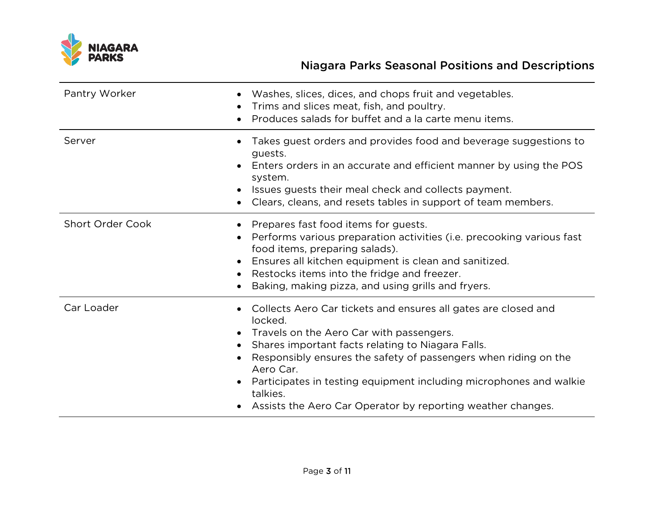

| Pantry Worker           | Washes, slices, dices, and chops fruit and vegetables.<br>Trims and slices meat, fish, and poultry.<br>Produces salads for buffet and a la carte menu items.                                                                                                                                                                                                                                                  |
|-------------------------|---------------------------------------------------------------------------------------------------------------------------------------------------------------------------------------------------------------------------------------------------------------------------------------------------------------------------------------------------------------------------------------------------------------|
| Server                  | Takes guest orders and provides food and beverage suggestions to<br>guests.<br>Enters orders in an accurate and efficient manner by using the POS<br>system.<br>Issues guests their meal check and collects payment.<br>Clears, cleans, and resets tables in support of team members.                                                                                                                         |
| <b>Short Order Cook</b> | Prepares fast food items for guests.<br>Performs various preparation activities (i.e. precooking various fast<br>food items, preparing salads).<br>Ensures all kitchen equipment is clean and sanitized.<br>Restocks items into the fridge and freezer.<br>Baking, making pizza, and using grills and fryers.                                                                                                 |
| Car Loader              | Collects Aero Car tickets and ensures all gates are closed and<br>locked.<br>• Travels on the Aero Car with passengers.<br>Shares important facts relating to Niagara Falls.<br>Responsibly ensures the safety of passengers when riding on the<br>Aero Car.<br>Participates in testing equipment including microphones and walkie<br>talkies.<br>Assists the Aero Car Operator by reporting weather changes. |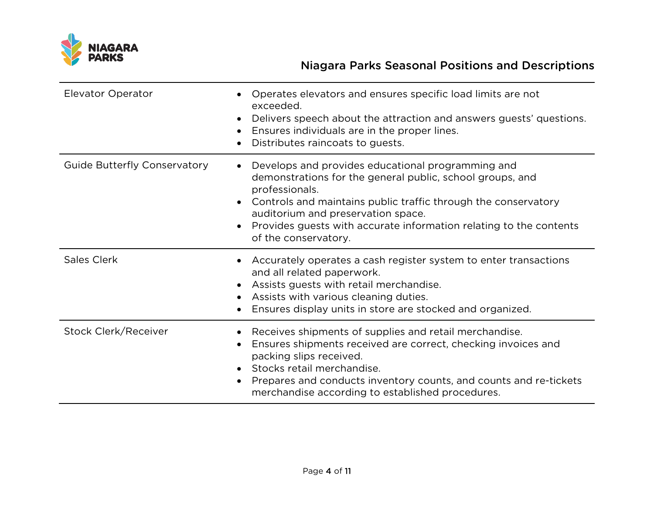

| <b>Elevator Operator</b>            | Operates elevators and ensures specific load limits are not<br>exceeded.<br>Delivers speech about the attraction and answers guests' questions.<br>Ensures individuals are in the proper lines.<br>Distributes raincoats to guests.                                                                                                      |
|-------------------------------------|------------------------------------------------------------------------------------------------------------------------------------------------------------------------------------------------------------------------------------------------------------------------------------------------------------------------------------------|
| <b>Guide Butterfly Conservatory</b> | Develops and provides educational programming and<br>demonstrations for the general public, school groups, and<br>professionals.<br>• Controls and maintains public traffic through the conservatory<br>auditorium and preservation space.<br>Provides guests with accurate information relating to the contents<br>of the conservatory. |
| <b>Sales Clerk</b>                  | Accurately operates a cash register system to enter transactions<br>and all related paperwork.<br>Assists guests with retail merchandise.<br>Assists with various cleaning duties.<br>Ensures display units in store are stocked and organized.                                                                                          |
| Stock Clerk/Receiver                | Receives shipments of supplies and retail merchandise.<br>Ensures shipments received are correct, checking invoices and<br>packing slips received.<br>• Stocks retail merchandise.<br>Prepares and conducts inventory counts, and counts and re-tickets<br>merchandise according to established procedures.                              |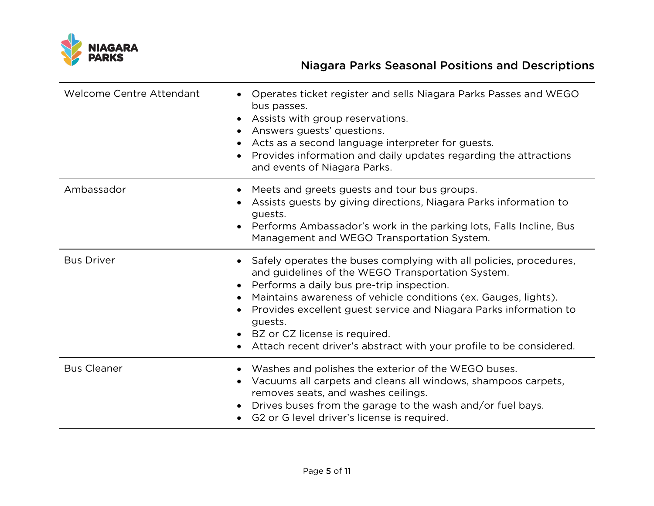

| <b>Welcome Centre Attendant</b> | Operates ticket register and sells Niagara Parks Passes and WEGO<br>bus passes.<br>Assists with group reservations.<br>$\bullet$<br>Answers guests' questions.<br>Acts as a second language interpreter for guests.<br>Provides information and daily updates regarding the attractions<br>and events of Niagara Parks.                                                                                                                                     |
|---------------------------------|-------------------------------------------------------------------------------------------------------------------------------------------------------------------------------------------------------------------------------------------------------------------------------------------------------------------------------------------------------------------------------------------------------------------------------------------------------------|
| Ambassador                      | Meets and greets guests and tour bus groups.<br>$\bullet$<br>Assists guests by giving directions, Niagara Parks information to<br>guests.<br>Performs Ambassador's work in the parking lots, Falls Incline, Bus<br>Management and WEGO Transportation System.                                                                                                                                                                                               |
| <b>Bus Driver</b>               | Safely operates the buses complying with all policies, procedures,<br>$\bullet$<br>and guidelines of the WEGO Transportation System.<br>Performs a daily bus pre-trip inspection.<br>$\bullet$<br>Maintains awareness of vehicle conditions (ex. Gauges, lights).<br>Provides excellent guest service and Niagara Parks information to<br>guests.<br>• BZ or CZ license is required.<br>Attach recent driver's abstract with your profile to be considered. |
| <b>Bus Cleaner</b>              | • Washes and polishes the exterior of the WEGO buses.<br>Vacuums all carpets and cleans all windows, shampoos carpets,<br>$\bullet$<br>removes seats, and washes ceilings.<br>Drives buses from the garage to the wash and/or fuel bays.<br>$\bullet$<br>G2 or G level driver's license is required.                                                                                                                                                        |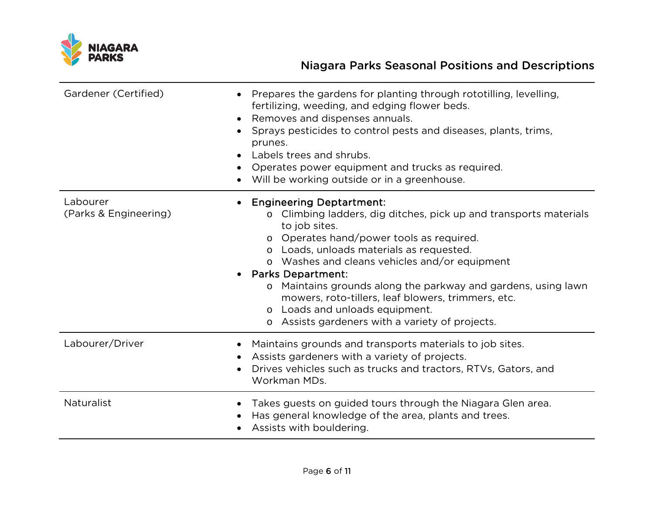

| Gardener (Certified)              | Prepares the gardens for planting through rototilling, levelling,<br>$\bullet$<br>fertilizing, weeding, and edging flower beds.<br>Removes and dispenses annuals.<br>$\bullet$<br>Sprays pesticides to control pests and diseases, plants, trims,<br>$\bullet$<br>prunes.<br>Labels trees and shrubs.<br>$\bullet$<br>Operates power equipment and trucks as required.<br>Will be working outside or in a greenhouse.                                                                                    |
|-----------------------------------|----------------------------------------------------------------------------------------------------------------------------------------------------------------------------------------------------------------------------------------------------------------------------------------------------------------------------------------------------------------------------------------------------------------------------------------------------------------------------------------------------------|
| Labourer<br>(Parks & Engineering) | <b>Engineering Deptartment:</b><br>Climbing ladders, dig ditches, pick up and transports materials<br>to job sites.<br>o Operates hand/power tools as required.<br>o Loads, unloads materials as requested.<br>o Washes and cleans vehicles and/or equipment<br>• Parks Department:<br>Maintains grounds along the parkway and gardens, using lawn<br>$\circ$<br>mowers, roto-tillers, leaf blowers, trimmers, etc.<br>o Loads and unloads equipment.<br>o Assists gardeners with a variety of projects. |
| Labourer/Driver                   | Maintains grounds and transports materials to job sites.<br>Assists gardeners with a variety of projects.<br>Drives vehicles such as trucks and tractors, RTVs, Gators, and<br>Workman MDs.                                                                                                                                                                                                                                                                                                              |
| <b>Naturalist</b>                 | Takes guests on guided tours through the Niagara Glen area.<br>$\bullet$<br>Has general knowledge of the area, plants and trees.<br>Assists with bouldering.                                                                                                                                                                                                                                                                                                                                             |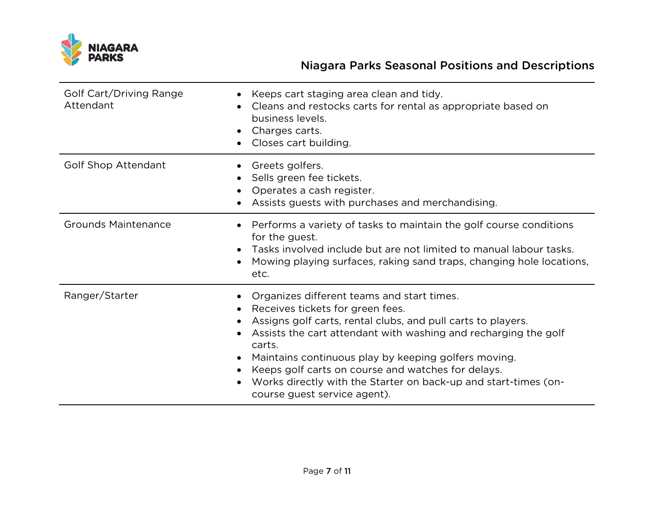

| Golf Cart/Driving Range<br>Attendant | Keeps cart staging area clean and tidy.<br>Cleans and restocks carts for rental as appropriate based on<br>business levels.<br>• Charges carts.<br>Closes cart building.                                                                                                                                                                                                                                                                                  |
|--------------------------------------|-----------------------------------------------------------------------------------------------------------------------------------------------------------------------------------------------------------------------------------------------------------------------------------------------------------------------------------------------------------------------------------------------------------------------------------------------------------|
| <b>Golf Shop Attendant</b>           | Greets golfers.<br>$\bullet$<br>Sells green fee tickets.<br>Operates a cash register.<br>Assists guests with purchases and merchandising.                                                                                                                                                                                                                                                                                                                 |
| <b>Grounds Maintenance</b>           | Performs a variety of tasks to maintain the golf course conditions<br>for the guest.<br>• Tasks involved include but are not limited to manual labour tasks.<br>Mowing playing surfaces, raking sand traps, changing hole locations,<br>$\bullet$<br>etc.                                                                                                                                                                                                 |
| Ranger/Starter                       | Organizes different teams and start times.<br>Receives tickets for green fees.<br>$\bullet$<br>Assigns golf carts, rental clubs, and pull carts to players.<br>Assists the cart attendant with washing and recharging the golf<br>carts.<br>Maintains continuous play by keeping golfers moving.<br>Keeps golf carts on course and watches for delays.<br>Works directly with the Starter on back-up and start-times (on-<br>course guest service agent). |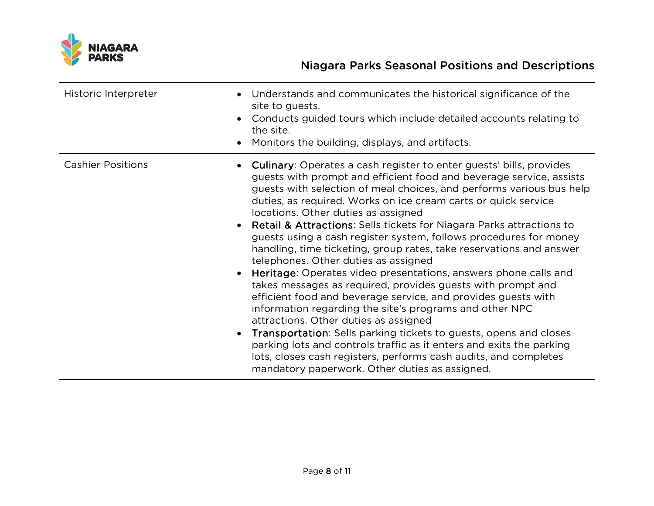

| Historic Interpreter     | Understands and communicates the historical significance of the<br>site to guests.<br>Conducts guided tours which include detailed accounts relating to<br>the site.<br>Monitors the building, displays, and artifacts.                                                                                                                                                                                                                                                                                                                                                                                                                                                                                                                                                                                                                                                                                                                                                                                                                                                                                                                                                             |
|--------------------------|-------------------------------------------------------------------------------------------------------------------------------------------------------------------------------------------------------------------------------------------------------------------------------------------------------------------------------------------------------------------------------------------------------------------------------------------------------------------------------------------------------------------------------------------------------------------------------------------------------------------------------------------------------------------------------------------------------------------------------------------------------------------------------------------------------------------------------------------------------------------------------------------------------------------------------------------------------------------------------------------------------------------------------------------------------------------------------------------------------------------------------------------------------------------------------------|
| <b>Cashier Positions</b> | <b>Culinary:</b> Operates a cash register to enter guests' bills, provides<br>guests with prompt and efficient food and beverage service, assists<br>guests with selection of meal choices, and performs various bus help<br>duties, as required. Works on ice cream carts or quick service<br>locations. Other duties as assigned<br><b>Retail &amp; Attractions:</b> Sells tickets for Niagara Parks attractions to<br>guests using a cash register system, follows procedures for money<br>handling, time ticketing, group rates, take reservations and answer<br>telephones. Other duties as assigned<br>Heritage: Operates video presentations, answers phone calls and<br>takes messages as required, provides guests with prompt and<br>efficient food and beverage service, and provides guests with<br>information regarding the site's programs and other NPC<br>attractions. Other duties as assigned<br>Transportation: Sells parking tickets to guests, opens and closes<br>parking lots and controls traffic as it enters and exits the parking<br>lots, closes cash registers, performs cash audits, and completes<br>mandatory paperwork. Other duties as assigned. |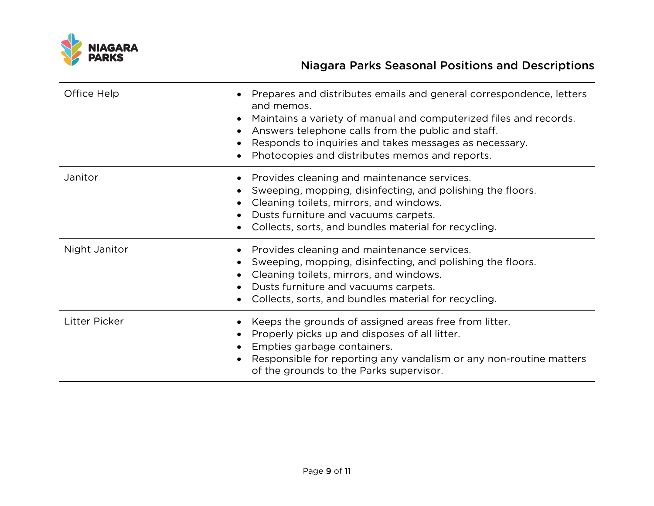

| Office Help          | Prepares and distributes emails and general correspondence, letters<br>and memos.<br>Maintains a variety of manual and computerized files and records.<br>Answers telephone calls from the public and staff.<br>Responds to inquiries and takes messages as necessary.<br>Photocopies and distributes memos and reports. |
|----------------------|--------------------------------------------------------------------------------------------------------------------------------------------------------------------------------------------------------------------------------------------------------------------------------------------------------------------------|
| Janitor              | Provides cleaning and maintenance services.<br>Sweeping, mopping, disinfecting, and polishing the floors.<br>Cleaning toilets, mirrors, and windows.<br>Dusts furniture and vacuums carpets.<br>Collects, sorts, and bundles material for recycling.                                                                     |
| Night Janitor        | Provides cleaning and maintenance services.<br>Sweeping, mopping, disinfecting, and polishing the floors.<br>Cleaning toilets, mirrors, and windows.<br>Dusts furniture and vacuums carpets.<br>Collects, sorts, and bundles material for recycling.                                                                     |
| <b>Litter Picker</b> | Keeps the grounds of assigned areas free from litter.<br>Properly picks up and disposes of all litter.<br>Empties garbage containers.<br>Responsible for reporting any vandalism or any non-routine matters<br>of the grounds to the Parks supervisor.                                                                   |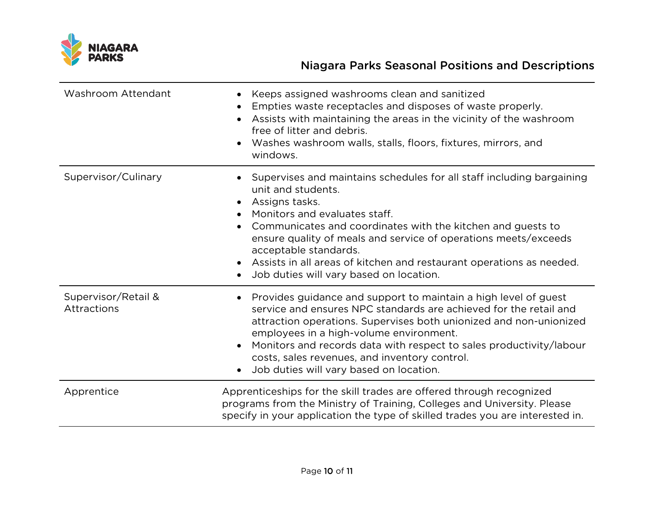

| Washroom Attendant                 | Keeps assigned washrooms clean and sanitized<br>Empties waste receptacles and disposes of waste properly.<br>Assists with maintaining the areas in the vicinity of the washroom<br>free of litter and debris.<br>Washes washroom walls, stalls, floors, fixtures, mirrors, and<br>windows.                                                                                                                                       |
|------------------------------------|----------------------------------------------------------------------------------------------------------------------------------------------------------------------------------------------------------------------------------------------------------------------------------------------------------------------------------------------------------------------------------------------------------------------------------|
| Supervisor/Culinary                | Supervises and maintains schedules for all staff including bargaining<br>unit and students.<br>• Assigns tasks.<br>Monitors and evaluates staff.<br>Communicates and coordinates with the kitchen and guests to<br>ensure quality of meals and service of operations meets/exceeds<br>acceptable standards.<br>• Assists in all areas of kitchen and restaurant operations as needed.<br>Job duties will vary based on location. |
| Supervisor/Retail &<br>Attractions | Provides guidance and support to maintain a high level of guest<br>service and ensures NPC standards are achieved for the retail and<br>attraction operations. Supervises both unionized and non-unionized<br>employees in a high-volume environment.<br>Monitors and records data with respect to sales productivity/labour<br>costs, sales revenues, and inventory control.<br>Job duties will vary based on location.         |
| Apprentice                         | Apprenticeships for the skill trades are offered through recognized<br>programs from the Ministry of Training, Colleges and University. Please<br>specify in your application the type of skilled trades you are interested in.                                                                                                                                                                                                  |